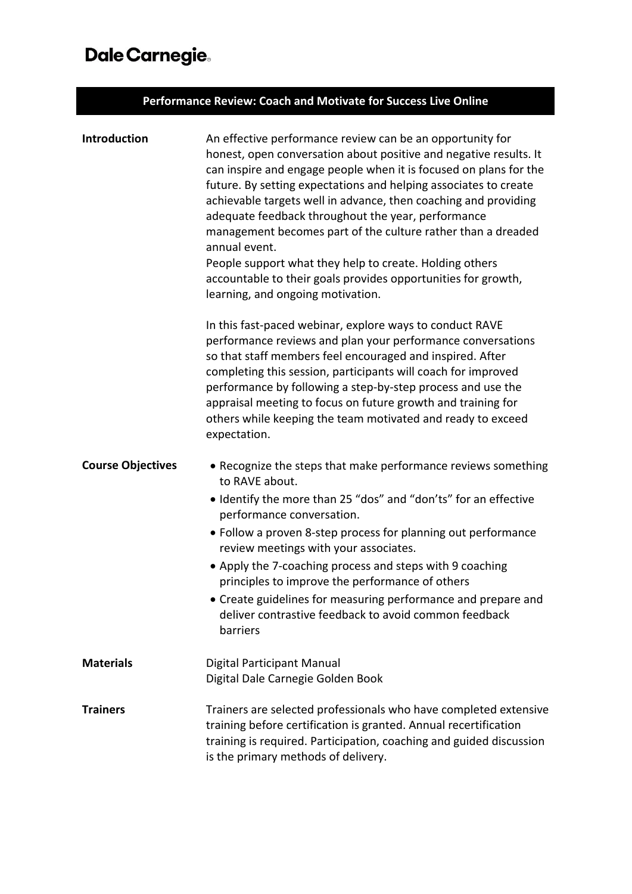## Dale Carnegie.

| Performance Review: Coach and Motivate for Success Live Online |                                                                                                                                                                                                                                                                                                                                                                                                                                                                                                                                                                                                                                                    |  |  |
|----------------------------------------------------------------|----------------------------------------------------------------------------------------------------------------------------------------------------------------------------------------------------------------------------------------------------------------------------------------------------------------------------------------------------------------------------------------------------------------------------------------------------------------------------------------------------------------------------------------------------------------------------------------------------------------------------------------------------|--|--|
| <b>Introduction</b>                                            | An effective performance review can be an opportunity for<br>honest, open conversation about positive and negative results. It<br>can inspire and engage people when it is focused on plans for the<br>future. By setting expectations and helping associates to create<br>achievable targets well in advance, then coaching and providing<br>adequate feedback throughout the year, performance<br>management becomes part of the culture rather than a dreaded<br>annual event.<br>People support what they help to create. Holding others<br>accountable to their goals provides opportunities for growth,<br>learning, and ongoing motivation. |  |  |
|                                                                | In this fast-paced webinar, explore ways to conduct RAVE<br>performance reviews and plan your performance conversations<br>so that staff members feel encouraged and inspired. After<br>completing this session, participants will coach for improved<br>performance by following a step-by-step process and use the<br>appraisal meeting to focus on future growth and training for<br>others while keeping the team motivated and ready to exceed<br>expectation.                                                                                                                                                                                |  |  |
| <b>Course Objectives</b>                                       | • Recognize the steps that make performance reviews something<br>to RAVE about.<br>• Identify the more than 25 "dos" and "don'ts" for an effective<br>performance conversation.<br>• Follow a proven 8-step process for planning out performance<br>review meetings with your associates.<br>• Apply the 7-coaching process and steps with 9 coaching<br>principles to improve the performance of others<br>• Create guidelines for measuring performance and prepare and<br>deliver contrastive feedback to avoid common feedback<br>barriers                                                                                                     |  |  |
| <b>Materials</b>                                               | Digital Participant Manual<br>Digital Dale Carnegie Golden Book                                                                                                                                                                                                                                                                                                                                                                                                                                                                                                                                                                                    |  |  |
| <b>Trainers</b>                                                | Trainers are selected professionals who have completed extensive<br>training before certification is granted. Annual recertification<br>training is required. Participation, coaching and guided discussion<br>is the primary methods of delivery.                                                                                                                                                                                                                                                                                                                                                                                                 |  |  |